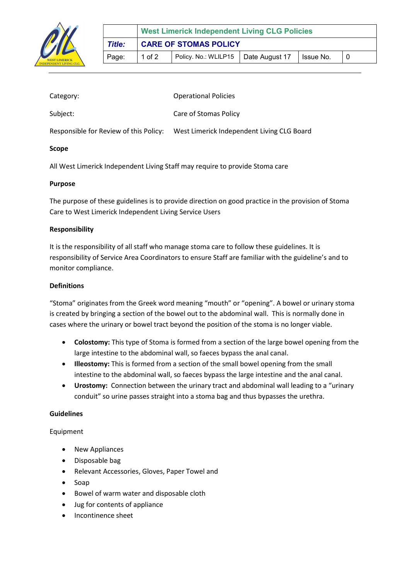

| Scope                                  |                                            |
|----------------------------------------|--------------------------------------------|
| Responsible for Review of this Policy: | West Limerick Independent Living CLG Board |
| Subject:                               | Care of Stomas Policy                      |
| Category:                              | <b>Operational Policies</b>                |

All West Limerick Independent Living Staff may require to provide Stoma care

# Purpose

The purpose of these guidelines is to provide direction on good practice in the provision of Stoma Care to West Limerick Independent Living Service Users

### Responsibility

It is the responsibility of all staff who manage stoma care to follow these guidelines. It is responsibility of Service Area Coordinators to ensure Staff are familiar with the guideline's and to monitor compliance.

### **Definitions**

"Stoma" originates from the Greek word meaning "mouth" or "opening". A bowel or urinary stoma is created by bringing a section of the bowel out to the abdominal wall. This is normally done in cases where the urinary or bowel tract beyond the position of the stoma is no longer viable.

- Colostomy: This type of Stoma is formed from a section of the large bowel opening from the large intestine to the abdominal wall, so faeces bypass the anal canal.
- Illeostomy: This is formed from a section of the small bowel opening from the small intestine to the abdominal wall, so faeces bypass the large intestine and the anal canal.
- Urostomy: Connection between the urinary tract and abdominal wall leading to a "urinary conduit" so urine passes straight into a stoma bag and thus bypasses the urethra.

#### Guidelines

# Equipment

- New Appliances
- Disposable bag
- Relevant Accessories, Gloves, Paper Towel and
- Soap
- Bowel of warm water and disposable cloth
- Jug for contents of appliance
- Incontinence sheet